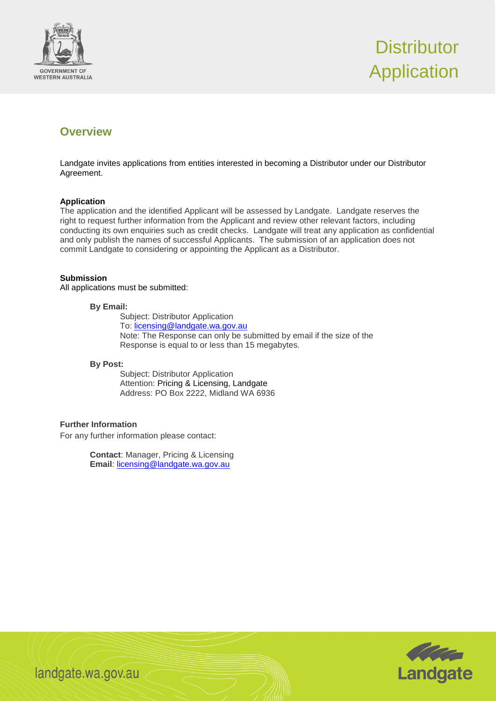



## **Overview**

Landgate invites applications from entities interested in becoming a Distributor under our Distributor Agreement.

## **Application**

The application and the identified Applicant will be assessed by Landgate. Landgate reserves the right to request further information from the Applicant and review other relevant factors, including conducting its own enquiries such as credit checks. Landgate will treat any application as confidential and only publish the names of successful Applicants. The submission of an application does not commit Landgate to considering or appointing the Applicant as a Distributor.

## **Submission**

All applications must be submitted:

#### **By Email:**

Subject: Distributor Application To: [licensing@landgate.wa.gov.au](mailto:licensing@landgate.wa.gov.au) Note: The Response can only be submitted by email if the size of the Response is equal to or less than 15 megabytes.

#### **By Post:**

Subject: Distributor Application Attention: Pricing & Licensing, Landgate Address: PO Box 2222, Midland WA 6936

### **Further Information**

For any further information please contact:

**Contact**: Manager, Pricing & Licensing **Email**: [licensing@landgate.wa.gov.au](mailto:licensing@landgate.wa.gov.au)



landgate.wa.gov.au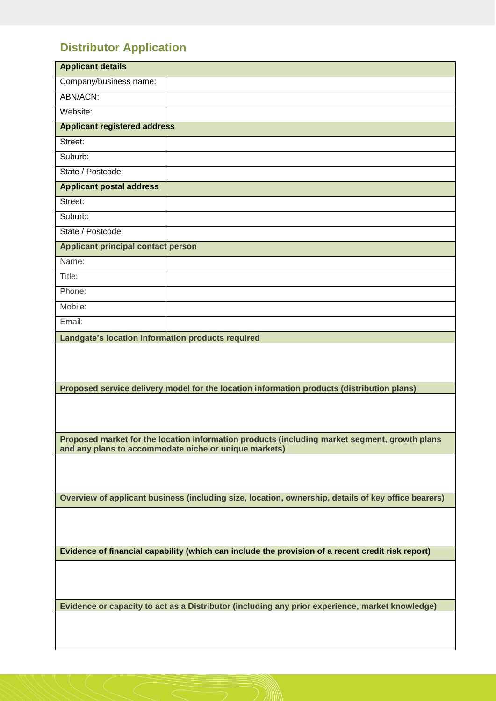# **Distributor Application**

| <b>Applicant details</b>                                                                                                                               |  |
|--------------------------------------------------------------------------------------------------------------------------------------------------------|--|
| Company/business name:                                                                                                                                 |  |
| ABN/ACN:                                                                                                                                               |  |
| Website:                                                                                                                                               |  |
| <b>Applicant registered address</b>                                                                                                                    |  |
| Street:                                                                                                                                                |  |
| Suburb:                                                                                                                                                |  |
| State / Postcode:                                                                                                                                      |  |
| <b>Applicant postal address</b>                                                                                                                        |  |
| Street:                                                                                                                                                |  |
| Suburb:                                                                                                                                                |  |
| State / Postcode:                                                                                                                                      |  |
| <b>Applicant principal contact person</b>                                                                                                              |  |
| Name:                                                                                                                                                  |  |
| Title:                                                                                                                                                 |  |
| Phone:                                                                                                                                                 |  |
| Mobile:                                                                                                                                                |  |
| Email:                                                                                                                                                 |  |
| Landgate's location information products required                                                                                                      |  |
|                                                                                                                                                        |  |
| Proposed service delivery model for the location information products (distribution plans)                                                             |  |
|                                                                                                                                                        |  |
| Proposed market for the location information products (including market segment, growth plans<br>and any plans to accommodate niche or unique markets) |  |
|                                                                                                                                                        |  |
| Overview of applicant business (including size, location, ownership, details of key office bearers)                                                    |  |
|                                                                                                                                                        |  |
| Evidence of financial capability (which can include the provision of a recent credit risk report)                                                      |  |
|                                                                                                                                                        |  |
| Evidence or capacity to act as a Distributor (including any prior experience, market knowledge)                                                        |  |
|                                                                                                                                                        |  |